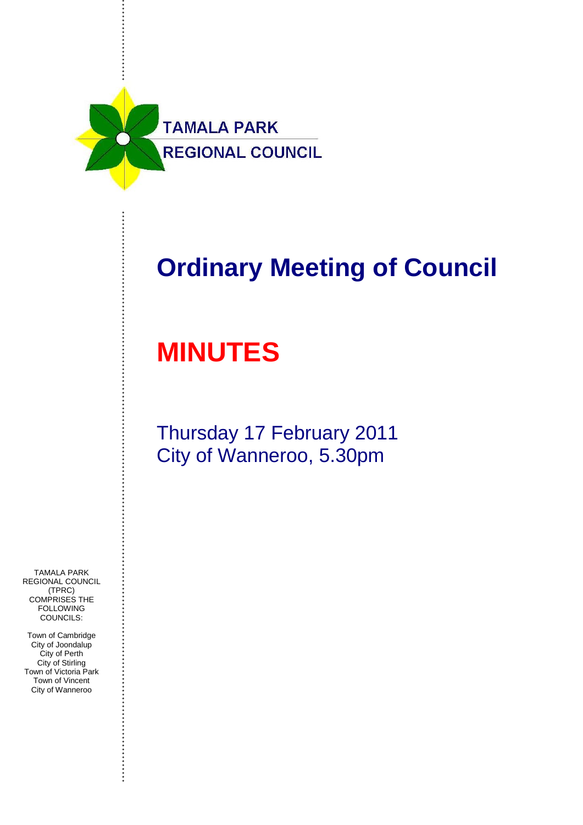

## **Ordinary Meeting of Council**

# **MINUTES**

Thursday 17 February 2011 City of Wanneroo, 5.30pm

TAMALA PARK REGIONAL COUNCIL (TPRC) COMPRISES THE FOLLOWING COUNCILS:

Town of Cambridge City of Joondalup City of Perth City of Stirling Town of Victoria Park Town of Vincent City of Wanneroo

................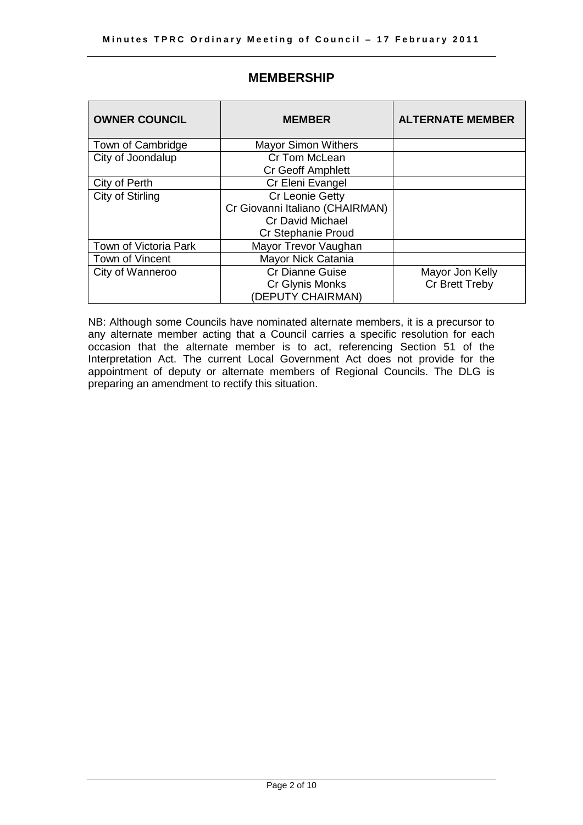<span id="page-1-0"></span>

| <b>OWNER COUNCIL</b>  | <b>MEMBER</b>                   | <b>ALTERNATE MEMBER</b> |
|-----------------------|---------------------------------|-------------------------|
| Town of Cambridge     | <b>Mayor Simon Withers</b>      |                         |
| City of Joondalup     | Cr Tom McLean                   |                         |
|                       | <b>Cr Geoff Amphlett</b>        |                         |
| City of Perth         | Cr Eleni Evangel                |                         |
| City of Stirling      | Cr Leonie Getty                 |                         |
|                       | Cr Giovanni Italiano (CHAIRMAN) |                         |
|                       | <b>Cr David Michael</b>         |                         |
|                       | Cr Stephanie Proud              |                         |
| Town of Victoria Park | Mayor Trevor Vaughan            |                         |
| Town of Vincent       | Mayor Nick Catania              |                         |
| City of Wanneroo      | Cr Dianne Guise                 | Mayor Jon Kelly         |
|                       | Cr Glynis Monks                 | Cr Brett Treby          |
|                       | (DEPUTY CHAIRMAN)               |                         |

## **MEMBERSHIP**

NB: Although some Councils have nominated alternate members, it is a precursor to any alternate member acting that a Council carries a specific resolution for each occasion that the alternate member is to act, referencing Section 51 of the Interpretation Act. The current Local Government Act does not provide for the appointment of deputy or alternate members of Regional Councils. The DLG is preparing an amendment to rectify this situation.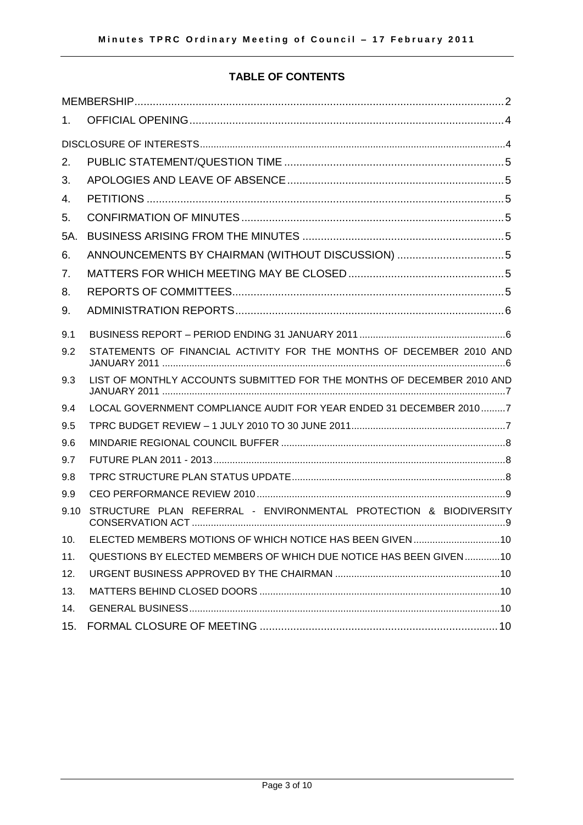## **TABLE OF CONTENTS**

| $1_{-}$ |                                                                        |
|---------|------------------------------------------------------------------------|
|         |                                                                        |
| 2.      |                                                                        |
| 3.      |                                                                        |
| 4.      |                                                                        |
| 5.      |                                                                        |
| 5A.     |                                                                        |
| 6.      | ANNOUNCEMENTS BY CHAIRMAN (WITHOUT DISCUSSION) 5                       |
| 7.      |                                                                        |
| 8.      |                                                                        |
| 9.      |                                                                        |
| 9.1     |                                                                        |
| 9.2     | STATEMENTS OF FINANCIAL ACTIVITY FOR THE MONTHS OF DECEMBER 2010 AND   |
| 9.3     | LIST OF MONTHLY ACCOUNTS SUBMITTED FOR THE MONTHS OF DECEMBER 2010 AND |
| 9.4     | LOCAL GOVERNMENT COMPLIANCE AUDIT FOR YEAR ENDED 31 DECEMBER 20107     |
| 9.5     |                                                                        |
| 9.6     |                                                                        |
| 9.7     |                                                                        |
| 9.8     |                                                                        |
| 9.9     |                                                                        |
| 9.10    | STRUCTURE PLAN REFERRAL - ENVIRONMENTAL PROTECTION & BIODIVERSITY      |
| 10.     |                                                                        |
| 11.     | QUESTIONS BY ELECTED MEMBERS OF WHICH DUE NOTICE HAS BEEN GIVEN 10     |
| 12.     |                                                                        |
| 13.     |                                                                        |
| 14.     |                                                                        |
| 15.     |                                                                        |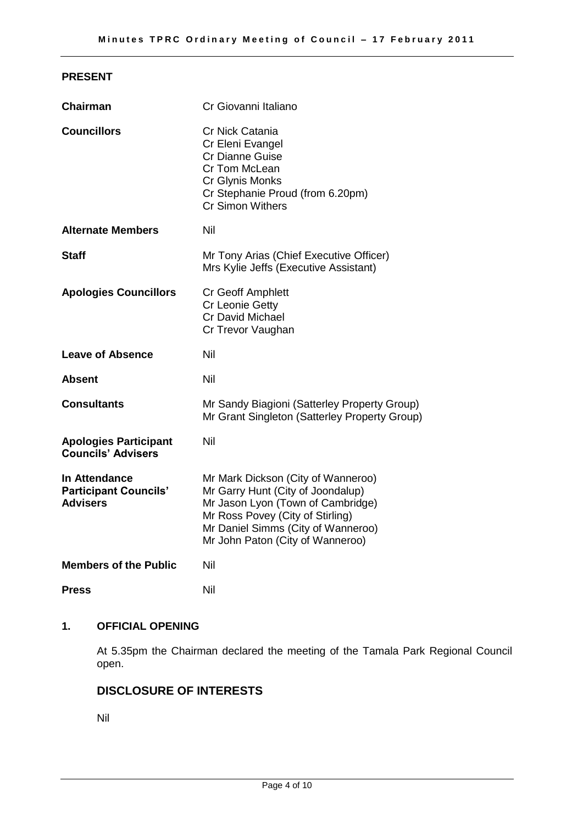## **PRESENT**

| <b>Chairman</b>                                                  | Cr Giovanni Italiano                                                                                                                                                                                                       |
|------------------------------------------------------------------|----------------------------------------------------------------------------------------------------------------------------------------------------------------------------------------------------------------------------|
| <b>Councillors</b>                                               | Cr Nick Catania<br>Cr Eleni Evangel<br><b>Cr Dianne Guise</b><br>Cr Tom McLean<br>Cr Glynis Monks<br>Cr Stephanie Proud (from 6.20pm)<br><b>Cr Simon Withers</b>                                                           |
| <b>Alternate Members</b>                                         | Nil                                                                                                                                                                                                                        |
| <b>Staff</b>                                                     | Mr Tony Arias (Chief Executive Officer)<br>Mrs Kylie Jeffs (Executive Assistant)                                                                                                                                           |
| <b>Apologies Councillors</b>                                     | Cr Geoff Amphlett<br><b>Cr Leonie Getty</b><br>Cr David Michael<br>Cr Trevor Vaughan                                                                                                                                       |
| <b>Leave of Absence</b>                                          | Nil                                                                                                                                                                                                                        |
| Absent                                                           | Nil                                                                                                                                                                                                                        |
| <b>Consultants</b>                                               | Mr Sandy Biagioni (Satterley Property Group)<br>Mr Grant Singleton (Satterley Property Group)                                                                                                                              |
| <b>Apologies Participant</b><br><b>Councils' Advisers</b>        | Nil                                                                                                                                                                                                                        |
| In Attendance<br><b>Participant Councils'</b><br><b>Advisers</b> | Mr Mark Dickson (City of Wanneroo)<br>Mr Garry Hunt (City of Joondalup)<br>Mr Jason Lyon (Town of Cambridge)<br>Mr Ross Povey (City of Stirling)<br>Mr Daniel Simms (City of Wanneroo)<br>Mr John Paton (City of Wanneroo) |
| <b>Members of the Public</b>                                     | Nil                                                                                                                                                                                                                        |
| <b>Press</b>                                                     | Nil                                                                                                                                                                                                                        |

## <span id="page-3-0"></span>**1. OFFICIAL OPENING**

At 5.35pm the Chairman declared the meeting of the Tamala Park Regional Council open.

## <span id="page-3-1"></span>**DISCLOSURE OF INTERESTS**

Nil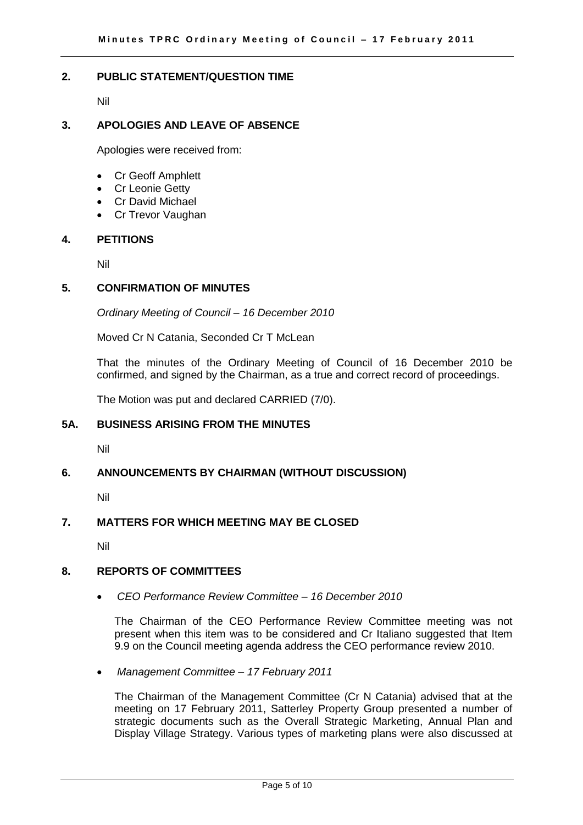#### <span id="page-4-0"></span>**2. PUBLIC STATEMENT/QUESTION TIME**

Nil

#### <span id="page-4-1"></span>**3. APOLOGIES AND LEAVE OF ABSENCE**

Apologies were received from:

- Cr Geoff Amphlett
- Cr Leonie Getty
- Cr David Michael
- Cr Trevor Vaughan

#### <span id="page-4-2"></span>**4. PETITIONS**

Nil

#### <span id="page-4-3"></span>**5. CONFIRMATION OF MINUTES**

*Ordinary Meeting of Council – 16 December 2010*

Moved Cr N Catania, Seconded Cr T McLean

That the minutes of the Ordinary Meeting of Council of 16 December 2010 be confirmed, and signed by the Chairman, as a true and correct record of proceedings.

The Motion was put and declared CARRIED (7/0).

#### <span id="page-4-4"></span>**5A. BUSINESS ARISING FROM THE MINUTES**

Nil

#### <span id="page-4-5"></span>**6. ANNOUNCEMENTS BY CHAIRMAN (WITHOUT DISCUSSION)**

Nil

## <span id="page-4-6"></span>**7. MATTERS FOR WHICH MEETING MAY BE CLOSED**

Nil

#### <span id="page-4-7"></span>**8. REPORTS OF COMMITTEES**

*CEO Performance Review Committee – 16 December 2010* 

The Chairman of the CEO Performance Review Committee meeting was not present when this item was to be considered and Cr Italiano suggested that Item 9.9 on the Council meeting agenda address the CEO performance review 2010.

*Management Committee – 17 February 2011*

The Chairman of the Management Committee (Cr N Catania) advised that at the meeting on 17 February 2011, Satterley Property Group presented a number of strategic documents such as the Overall Strategic Marketing, Annual Plan and Display Village Strategy. Various types of marketing plans were also discussed at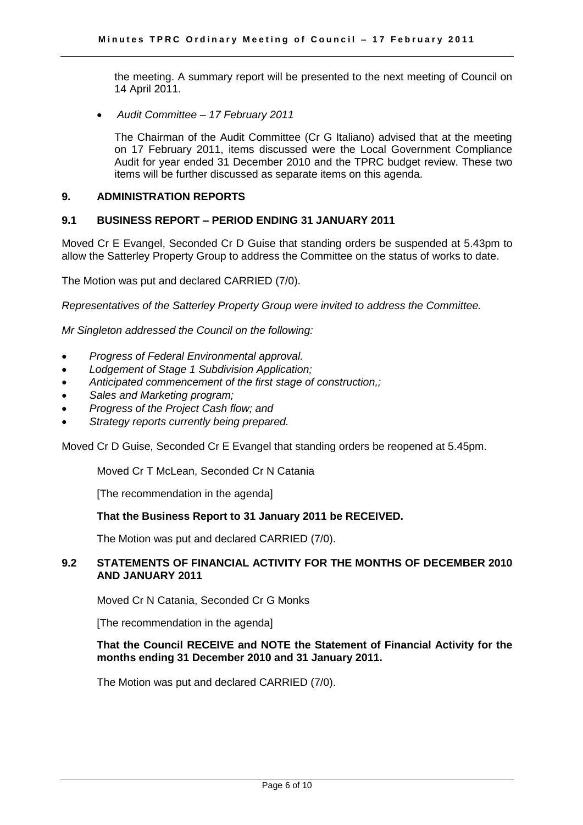the meeting. A summary report will be presented to the next meeting of Council on 14 April 2011.

*Audit Committee – 17 February 2011*

The Chairman of the Audit Committee (Cr G Italiano) advised that at the meeting on 17 February 2011, items discussed were the Local Government Compliance Audit for year ended 31 December 2010 and the TPRC budget review. These two items will be further discussed as separate items on this agenda.

#### <span id="page-5-0"></span>**9. ADMINISTRATION REPORTS**

#### <span id="page-5-1"></span>**9.1 BUSINESS REPORT – PERIOD ENDING 31 JANUARY 2011**

Moved Cr E Evangel, Seconded Cr D Guise that standing orders be suspended at 5.43pm to allow the Satterley Property Group to address the Committee on the status of works to date.

The Motion was put and declared CARRIED (7/0).

*Representatives of the Satterley Property Group were invited to address the Committee.*

*Mr Singleton addressed the Council on the following:*

- *Progress of Federal Environmental approval.*
- *Lodgement of Stage 1 Subdivision Application;*
- *Anticipated commencement of the first stage of construction,;*
- *Sales and Marketing program;*
- *Progress of the Project Cash flow; and*
- *Strategy reports currently being prepared.*

Moved Cr D Guise, Seconded Cr E Evangel that standing orders be reopened at 5.45pm.

Moved Cr T McLean, Seconded Cr N Catania

[The recommendation in the agenda]

#### **That the Business Report to 31 January 2011 be RECEIVED.**

The Motion was put and declared CARRIED (7/0).

#### <span id="page-5-2"></span>**9.2 STATEMENTS OF FINANCIAL ACTIVITY FOR THE MONTHS OF DECEMBER 2010 AND JANUARY 2011**

Moved Cr N Catania, Seconded Cr G Monks

[The recommendation in the agenda]

#### **That the Council RECEIVE and NOTE the Statement of Financial Activity for the months ending 31 December 2010 and 31 January 2011.**

The Motion was put and declared CARRIED (7/0).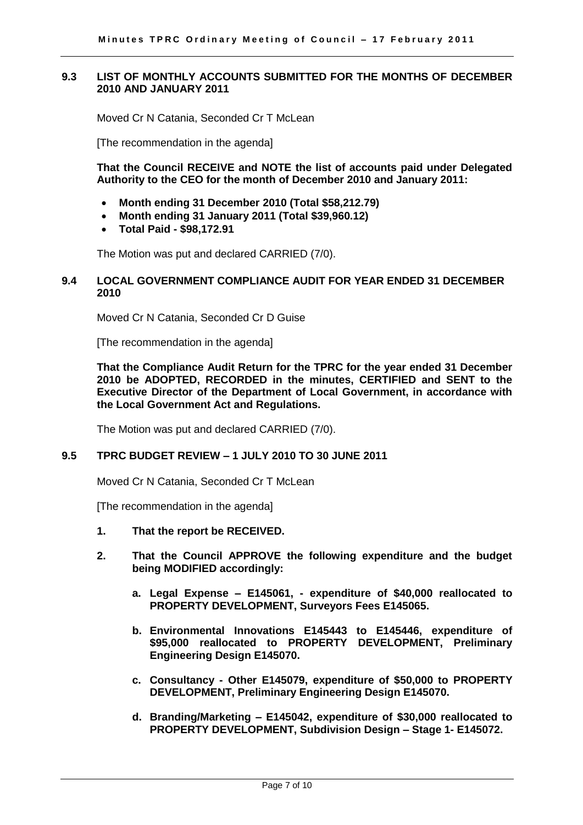#### <span id="page-6-0"></span>**9.3 LIST OF MONTHLY ACCOUNTS SUBMITTED FOR THE MONTHS OF DECEMBER 2010 AND JANUARY 2011**

Moved Cr N Catania, Seconded Cr T McLean

[The recommendation in the agenda]

**That the Council RECEIVE and NOTE the list of accounts paid under Delegated Authority to the CEO for the month of December 2010 and January 2011:**

- **Month ending 31 December 2010 (Total \$58,212.79)**
- **Month ending 31 January 2011 (Total \$39,960.12)**
- **Total Paid - \$98,172.91**

The Motion was put and declared CARRIED (7/0).

#### <span id="page-6-1"></span>**9.4 LOCAL GOVERNMENT COMPLIANCE AUDIT FOR YEAR ENDED 31 DECEMBER 2010**

Moved Cr N Catania, Seconded Cr D Guise

[The recommendation in the agenda]

**That the Compliance Audit Return for the TPRC for the year ended 31 December 2010 be ADOPTED, RECORDED in the minutes, CERTIFIED and SENT to the Executive Director of the Department of Local Government, in accordance with the Local Government Act and Regulations.**

The Motion was put and declared CARRIED (7/0).

#### <span id="page-6-2"></span>**9.5 TPRC BUDGET REVIEW – 1 JULY 2010 TO 30 JUNE 2011**

Moved Cr N Catania, Seconded Cr T McLean

[The recommendation in the agenda]

- **1. That the report be RECEIVED.**
- **2. That the Council APPROVE the following expenditure and the budget being MODIFIED accordingly:**
	- **a. Legal Expense – E145061, - expenditure of \$40,000 reallocated to PROPERTY DEVELOPMENT, Surveyors Fees E145065.**
	- **b. Environmental Innovations E145443 to E145446, expenditure of \$95,000 reallocated to PROPERTY DEVELOPMENT, Preliminary Engineering Design E145070.**
	- **c. Consultancy - Other E145079, expenditure of \$50,000 to PROPERTY DEVELOPMENT, Preliminary Engineering Design E145070.**
	- **d. Branding/Marketing – E145042, expenditure of \$30,000 reallocated to PROPERTY DEVELOPMENT, Subdivision Design – Stage 1- E145072.**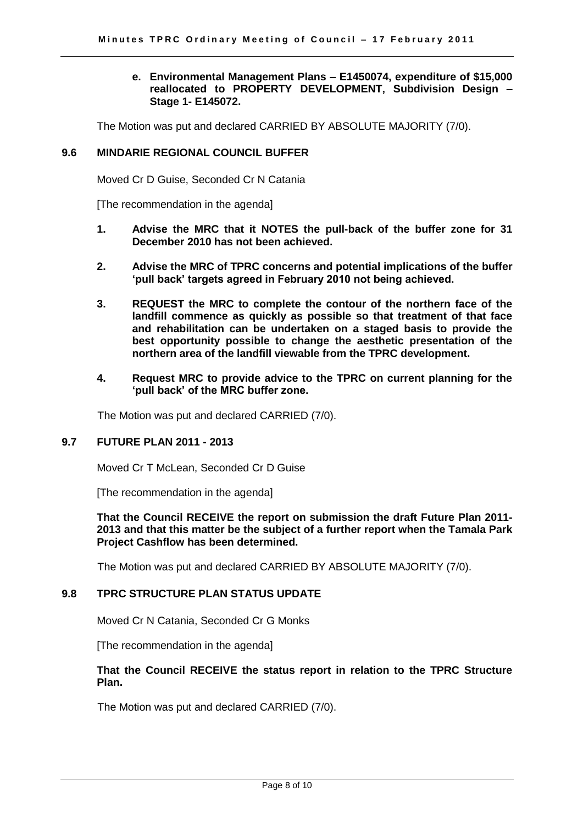#### **e. Environmental Management Plans – E1450074, expenditure of \$15,000 reallocated to PROPERTY DEVELOPMENT, Subdivision Design – Stage 1- E145072.**

The Motion was put and declared CARRIED BY ABSOLUTE MAJORITY (7/0).

#### <span id="page-7-0"></span>**9.6 MINDARIE REGIONAL COUNCIL BUFFER**

Moved Cr D Guise, Seconded Cr N Catania

[The recommendation in the agenda]

- **1. Advise the MRC that it NOTES the pull-back of the buffer zone for 31 December 2010 has not been achieved.**
- **2. Advise the MRC of TPRC concerns and potential implications of the buffer 'pull back' targets agreed in February 2010 not being achieved.**
- **3. REQUEST the MRC to complete the contour of the northern face of the landfill commence as quickly as possible so that treatment of that face and rehabilitation can be undertaken on a staged basis to provide the best opportunity possible to change the aesthetic presentation of the northern area of the landfill viewable from the TPRC development.**
- **4. Request MRC to provide advice to the TPRC on current planning for the 'pull back' of the MRC buffer zone.**

The Motion was put and declared CARRIED (7/0).

#### <span id="page-7-1"></span>**9.7 FUTURE PLAN 2011 - 2013**

Moved Cr T McLean, Seconded Cr D Guise

[The recommendation in the agenda]

#### **That the Council RECEIVE the report on submission the draft Future Plan 2011- 2013 and that this matter be the subject of a further report when the Tamala Park Project Cashflow has been determined.**

The Motion was put and declared CARRIED BY ABSOLUTE MAJORITY (7/0).

#### <span id="page-7-2"></span>**9.8 TPRC STRUCTURE PLAN STATUS UPDATE**

Moved Cr N Catania, Seconded Cr G Monks

[The recommendation in the agenda]

#### **That the Council RECEIVE the status report in relation to the TPRC Structure Plan.**

The Motion was put and declared CARRIED (7/0).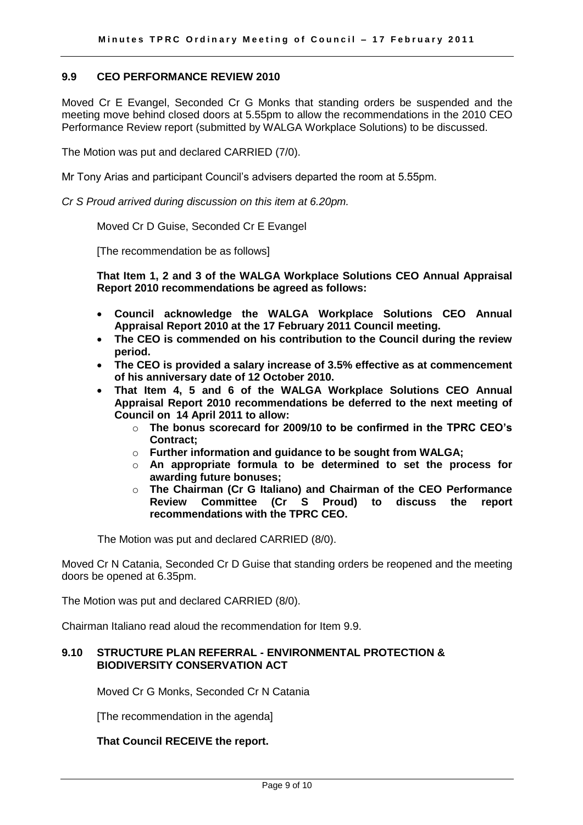#### <span id="page-8-0"></span>**9.9 CEO PERFORMANCE REVIEW 2010**

Moved Cr E Evangel, Seconded Cr G Monks that standing orders be suspended and the meeting move behind closed doors at 5.55pm to allow the recommendations in the 2010 CEO Performance Review report (submitted by WALGA Workplace Solutions) to be discussed.

The Motion was put and declared CARRIED (7/0).

Mr Tony Arias and participant Council's advisers departed the room at 5.55pm.

*Cr S Proud arrived during discussion on this item at 6.20pm.* 

Moved Cr D Guise, Seconded Cr E Evangel

[The recommendation be as follows]

**That Item 1, 2 and 3 of the WALGA Workplace Solutions CEO Annual Appraisal Report 2010 recommendations be agreed as follows:**

- **Council acknowledge the WALGA Workplace Solutions CEO Annual Appraisal Report 2010 at the 17 February 2011 Council meeting.**
- **The CEO is commended on his contribution to the Council during the review period.**
- **The CEO is provided a salary increase of 3.5% effective as at commencement of his anniversary date of 12 October 2010.**
- **That Item 4, 5 and 6 of the WALGA Workplace Solutions CEO Annual Appraisal Report 2010 recommendations be deferred to the next meeting of Council on 14 April 2011 to allow:**
	- o **The bonus scorecard for 2009/10 to be confirmed in the TPRC CEO's Contract;**
	- o **Further information and guidance to be sought from WALGA;**
	- o **An appropriate formula to be determined to set the process for awarding future bonuses;**
	- o **The Chairman (Cr G Italiano) and Chairman of the CEO Performance Review Committee (Cr S Proud) to discuss the report recommendations with the TPRC CEO.**

The Motion was put and declared CARRIED (8/0).

Moved Cr N Catania, Seconded Cr D Guise that standing orders be reopened and the meeting doors be opened at 6.35pm.

The Motion was put and declared CARRIED (8/0).

Chairman Italiano read aloud the recommendation for Item 9.9.

#### <span id="page-8-1"></span>**9.10 STRUCTURE PLAN REFERRAL - ENVIRONMENTAL PROTECTION & BIODIVERSITY CONSERVATION ACT**

Moved Cr G Monks, Seconded Cr N Catania

[The recommendation in the agenda]

#### **That Council RECEIVE the report.**